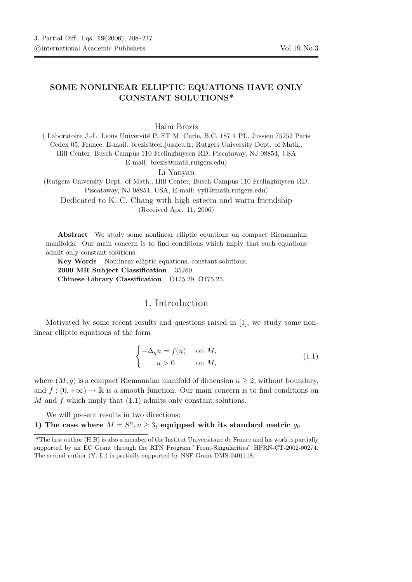## SOME NONLINEAR ELLIPTIC EQUATIONS HAVE ONLY CONSTANT SOLUTIONS\*

## Haïm Brezis

( Laboratoire J.-L. Lions Universit´e P. ET M. Curie, B.C. 187 4 PL. Jussieu 75252 Paris Cedex 05, France, E-mail: brezis@ccr.jussieu.fr; Rutgers University Dept. of Math., Hill Center, Busch Campus 110 Frelinghuysen RD, Piscataway, NJ 08854, USA E-mail: brezis@math.rutgers.edu)

Li Yanyan

(Rutgers University Dept. of Math., Hill Center, Busch Campus 110 Frelinghuysen RD, Piscataway, NJ 08854, USA, E-mail: yyli@math.rutgers.edu)

Dedicated to K. C. Chang with high esteem and warm friendship (Received Apr. 11, 2006)

Abstract We study some nonlinear elliptic equations on compact Riemannian manifolds. Our main concern is to find conditions which imply that such equations admit only constant solutions.

Key Words Nonlinear elliptic equations; constant solutions. 2000 MR Subject Classification 35J60. Chinese Library Classification O175.29, O175.25.

## 1. Introduction

Motivated by some recent results and questions raised in [1], we study some nonlinear elliptic equations of the form

$$
\begin{cases}\n-\Delta_g u = f(u) & \text{on } M, \\
u > 0 & \text{on } M,\n\end{cases}
$$
\n(1.1)

where  $(M, g)$  is a compact Riemannian manifold of dimension  $n \geq 2$ , without boundary, and  $f:(0, +\infty) \to \mathbb{R}$  is a smooth function. Our main concern is to find conditions on  $M$  and  $f$  which imply that  $(1.1)$  admits only constant solutions.

We will present results in two directions:

1) The case where  $M = S^n, n \geq 3$ , equipped with its standard metric  $g_0$ 

<sup>\*</sup>The first author (H.B) is also a member of the Institut Universitaire de France and his work is partially supported by an EC Grant through the RTN Program "Front-Singularities" HPRN-CT-2002-00274. The second author (Y. L.) is partially supported by NSF Grant DMS-0401118.